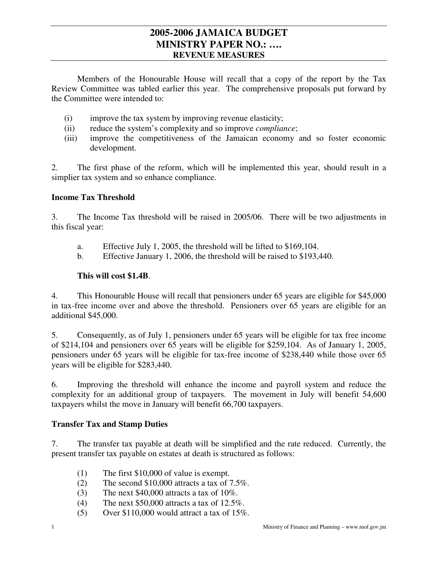Members of the Honourable House will recall that a copy of the report by the Tax Review Committee was tabled earlier this year. The comprehensive proposals put forward by the Committee were intended to:

- (i) improve the tax system by improving revenue elasticity;
- (ii) reduce the system's complexity and so improve *compliance*;
- (iii) improve the competitiveness of the Jamaican economy and so foster economic development.

2. The first phase of the reform, which will be implemented this year, should result in a simplier tax system and so enhance compliance.

#### **Income Tax Threshold**

3. The Income Tax threshold will be raised in 2005/06. There will be two adjustments in this fiscal year:

- a. Effective July 1, 2005, the threshold will be lifted to \$169,104.
- b. Effective January 1, 2006, the threshold will be raised to \$193,440.

#### **This will cost \$1.4B**.

4. This Honourable House will recall that pensioners under 65 years are eligible for \$45,000 in tax-free income over and above the threshold. Pensioners over 65 years are eligible for an additional \$45,000.

5. Consequently, as of July 1, pensioners under 65 years will be eligible for tax free income of \$214,104 and pensioners over 65 years will be eligible for \$259,104. As of January 1, 2005, pensioners under 65 years will be eligible for tax-free income of \$238,440 while those over 65 years will be eligible for \$283,440.

6. Improving the threshold will enhance the income and payroll system and reduce the complexity for an additional group of taxpayers. The movement in July will benefit 54,600 taxpayers whilst the move in January will benefit 66,700 taxpayers.

#### **Transfer Tax and Stamp Duties**

7. The transfer tax payable at death will be simplified and the rate reduced. Currently, the present transfer tax payable on estates at death is structured as follows:

- (1) The first \$10,000 of value is exempt.
- (2) The second \$10,000 attracts a tax of 7.5%.
- (3) The next  $$40,000$  attracts a tax of  $10\%$ .
- (4) The next \$50,000 attracts a tax of 12.5%.
- (5) Over  $$110,000$  would attract a tax of 15%.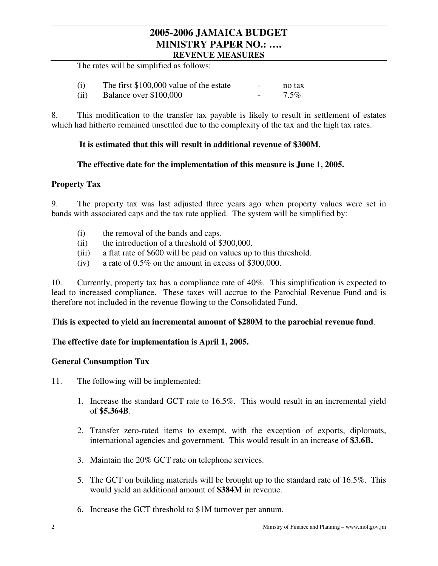## **2005-2006 JAMAICA BUDGET MINISTRY PAPER NO.: …. REVENUE MEASURES**

The rates will be simplified as follows:

| (i)  | The first \$100,000 value of the estate | $\overline{\phantom{a}}$ | no tax  |
|------|-----------------------------------------|--------------------------|---------|
| (ii) | Balance over \$100,000                  | $\overline{\phantom{0}}$ | $7.5\%$ |

8. This modification to the transfer tax payable is likely to result in settlement of estates which had hitherto remained unsettled due to the complexity of the tax and the high tax rates.

#### **It is estimated that this will result in additional revenue of \$300M.**

#### **The effective date for the implementation of this measure is June 1, 2005.**

#### **Property Tax**

9. The property tax was last adjusted three years ago when property values were set in bands with associated caps and the tax rate applied. The system will be simplified by:

- (i) the removal of the bands and caps.
- (ii) the introduction of a threshold of \$300,000.
- (iii) a flat rate of \$600 will be paid on values up to this threshold.
- (iv) a rate of 0.5% on the amount in excess of \$300,000.

10. Currently, property tax has a compliance rate of 40%. This simplification is expected to lead to increased compliance. These taxes will accrue to the Parochial Revenue Fund and is therefore not included in the revenue flowing to the Consolidated Fund.

#### **This is expected to yield an incremental amount of \$280M to the parochial revenue fund**.

#### **The effective date for implementation is April 1, 2005.**

#### **General Consumption Tax**

- 11. The following will be implemented:
	- 1. Increase the standard GCT rate to 16.5%. This would result in an incremental yield of **\$5.364B**.
	- 2. Transfer zero-rated items to exempt, with the exception of exports, diplomats, international agencies and government. This would result in an increase of **\$3.6B.**
	- 3. Maintain the 20% GCT rate on telephone services.
	- 5. The GCT on building materials will be brought up to the standard rate of 16.5%. This would yield an additional amount of **\$384M** in revenue.
	- 6. Increase the GCT threshold to \$1M turnover per annum.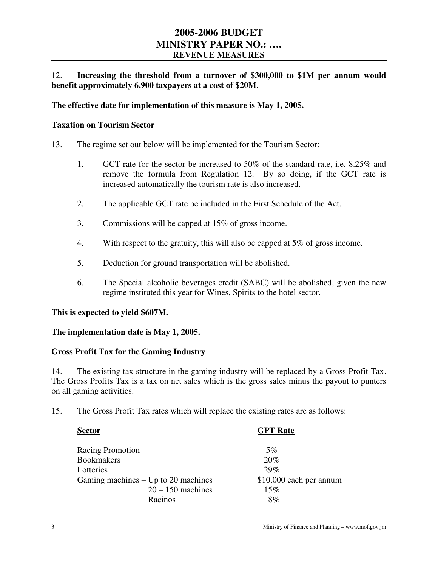## **2005-2006 BUDGET MINISTRY PAPER NO.: …. REVENUE MEASURES**

#### 12. **Increasing the threshold from a turnover of \$300,000 to \$1M per annum would benefit approximately 6,900 taxpayers at a cost of \$20M**.

#### **The effective date for implementation of this measure is May 1, 2005.**

#### **Taxation on Tourism Sector**

- 13. The regime set out below will be implemented for the Tourism Sector:
	- 1. GCT rate for the sector be increased to 50% of the standard rate, i.e. 8.25% and remove the formula from Regulation 12. By so doing, if the GCT rate is increased automatically the tourism rate is also increased.
	- 2. The applicable GCT rate be included in the First Schedule of the Act.
	- 3. Commissions will be capped at 15% of gross income.
	- 4. With respect to the gratuity, this will also be capped at 5% of gross income.
	- 5. Deduction for ground transportation will be abolished.
	- 6. The Special alcoholic beverages credit (SABC) will be abolished, given the new regime instituted this year for Wines, Spirits to the hotel sector.

#### **This is expected to yield \$607M.**

#### **The implementation date is May 1, 2005.**

#### **Gross Profit Tax for the Gaming Industry**

14. The existing tax structure in the gaming industry will be replaced by a Gross Profit Tax. The Gross Profits Tax is a tax on net sales which is the gross sales minus the payout to punters on all gaming activities.

15. The Gross Profit Tax rates which will replace the existing rates are as follows:

| <b>Sector</b>                         | <b>GPT</b> Rate         |
|---------------------------------------|-------------------------|
| <b>Racing Promotion</b>               | $5\%$                   |
| <b>Bookmakers</b>                     | 20%                     |
| Lotteries                             | 29%                     |
| Gaming machines $-$ Up to 20 machines | \$10,000 each per annum |
| $20 - 150$ machines                   | 15%                     |
| Racinos                               | 8%                      |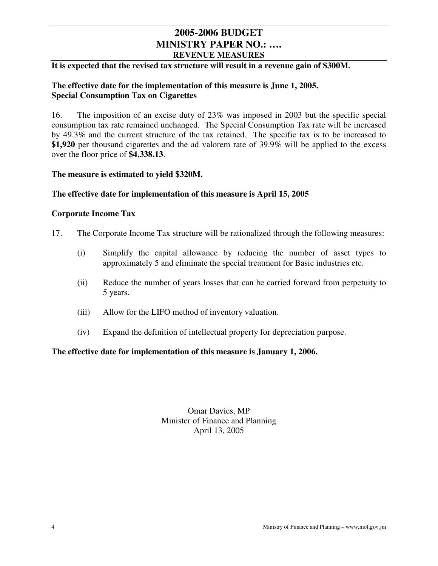## **2005-2006 BUDGET MINISTRY PAPER NO.: …. REVENUE MEASURES**

#### **It is expected that the revised tax structure will result in a revenue gain of \$300M.**

#### **The effective date for the implementation of this measure is June 1, 2005. Special Consumption Tax on Cigarettes**

16. The imposition of an excise duty of 23% was imposed in 2003 but the specific special consumption tax rate remained unchanged. The Special Consumption Tax rate will be increased by 49.3% and the current structure of the tax retained. The specific tax is to be increased to **\$1,920** per thousand cigarettes and the ad valorem rate of 39.9% will be applied to the excess over the floor price of **\$4,338.13**.

#### **The measure is estimated to yield \$320M.**

#### **The effective date for implementation of this measure is April 15, 2005**

#### **Corporate Income Tax**

- 17. The Corporate Income Tax structure will be rationalized through the following measures:
	- (i) Simplify the capital allowance by reducing the number of asset types to approximately 5 and eliminate the special treatment for Basic industries etc.
	- (ii) Reduce the number of years losses that can be carried forward from perpetuity to 5 years.
	- (iii) Allow for the LIFO method of inventory valuation.
	- (iv) Expand the definition of intellectual property for depreciation purpose.

#### **The effective date for implementation of this measure is January 1, 2006.**

Omar Davies, MP Minister of Finance and Planning April 13, 2005